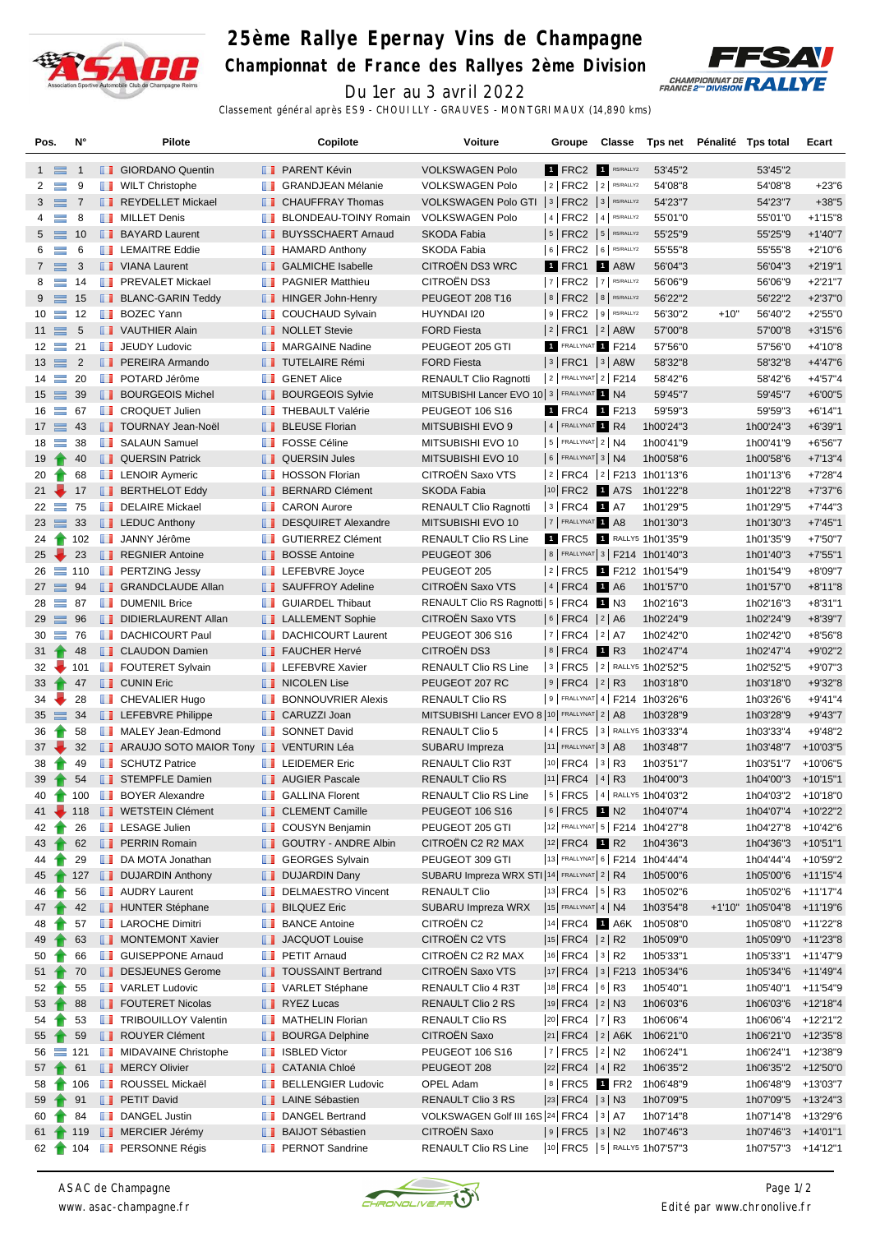

## **25ème Rallye Epernay Vins de Champagne**

**Championnat de France des Rallyes 2ème Division**



Du 1er au 3 avril 2022 Classement général après ES9 - CHOUILLY - GRAUVES - MONTGRIMAUX (14,890 kms)

| Pos.            |                   | N°              |                  | <b>Pilote</b>                                         |               | Copilote                             | Voiture                                        | Groupe                                                                                      | Classe | Tps net                                      | Pénalité Tps total |                                 | Ecart                |
|-----------------|-------------------|-----------------|------------------|-------------------------------------------------------|---------------|--------------------------------------|------------------------------------------------|---------------------------------------------------------------------------------------------|--------|----------------------------------------------|--------------------|---------------------------------|----------------------|
|                 | $1 \equiv$        | $\overline{1}$  |                  | <b>B</b> GIORDANO Quentin                             |               | <b>F</b> PARENT Kévin                | <b>VOLKSWAGEN Polo</b>                         | 1 FRC2 1 R5/RALLY2                                                                          |        | 53'45"2                                      |                    | 53'45"2                         |                      |
| 2               | $\equiv$          | 9               |                  | <b>WILT Christophe</b>                                |               | <b>BE GRANDJEAN Mélanie</b>          | <b>VOLKSWAGEN Polo</b>                         | $ 2 $ FRC2 $ 2 $ R5/RALLY2                                                                  |        | 54'08"8                                      |                    | 54'08"8                         | $+23"6$              |
| 3               | $\equiv$          | $\overline{7}$  |                  | REYDELLET Mickael                                     |               | <b>CHAUFFRAY Thomas</b>              | VOLKSWAGEN Polo GTI   3   FRC2   3   R5/RALLY2 |                                                                                             |        | 54'23"7                                      |                    | 54'23"7                         | $+38"5$              |
| 4               | $\equiv$          | 8               |                  | <b>NILLET</b> Denis                                   | ш             | <b>BLONDEAU-TOINY Romain</b>         | <b>VOLKSWAGEN Polo</b>                         | $ 4 $ FRC2 $ 4 $ R5/RALLY2                                                                  |        | 55'01"0                                      |                    | 55'01"0                         | +1'15"8              |
|                 | $5 \equiv$        | 10              |                  | <b>BAYARD Laurent</b>                                 |               | <b>BUYSSCHAERT Arnaud</b>            | SKODA Fabia                                    | $ 5 $ FRC2 $ 5 $ R5/RALLY2                                                                  |        | 55'25"9                                      |                    | 55'25"9                         | $+1'40''7$           |
| 6               | $\equiv$          | 6               |                  | <b>LEMAITRE Eddie</b>                                 |               | <b>B</b> HAMARD Anthony              | SKODA Fabia                                    | 6   FRC2   6   R5/RALLY2                                                                    |        | 55'55"8                                      |                    | 55'55"8                         | $+2'10''6$           |
|                 | $7 \equiv$        | 3               |                  | VIANA Laurent                                         |               | <b>GALMICHE</b> Isabelle             | CITROËN DS3 WRC                                | 1 FRC1 1 A8W                                                                                |        | 56'04"3                                      |                    | 56'04"3                         | $+2'19''1$           |
| 8               | $\equiv$          | 14              |                  | <b>FREVALET Mickael</b>                               |               | <b>FRAGNIER Matthieu</b>             | CITROËN DS3                                    | $ 7 $ FRC2 $ 7 $ R5/RALLY2                                                                  |        | 56'06"9                                      |                    | 56'06"9                         | $+2'21"7$            |
| 9               |                   | 15              |                  | <b>BLANC-GARIN Teddy</b>                              |               | <b>HINGER John-Henry</b>             | PEUGEOT 208 T16                                | $ 8 $ FRC2 $ 8 $ R5/RALLY2                                                                  |        | 56'22"2                                      |                    | 56'22"2                         | $+2'37"0$            |
|                 | $10 \equiv$       | 12              | H.               | <b>BOZEC Yann</b>                                     | w             | <b>COUCHAUD Sylvain</b>              | HUYNDAI I20                                    | $ 9 $ FRC2 $ 9 $ R5/RALLY2                                                                  |        | 56'30"2                                      | $+10"$             | 56'40"2                         | $+2'55"0$            |
|                 | $11 \equiv$       | 5               |                  | VAUTHIER Alain                                        |               | NOLLET Stevie                        | <b>FORD Fiesta</b>                             | $ 2 $ FRC1 $ 2 $ A8W                                                                        |        | 57'00"8                                      |                    | 57'00"8                         | $+3'15''6$           |
|                 | $12 =$            | 21              | ш                | <b>JEUDY Ludovic</b>                                  |               | <b>MARGAINE Nadine</b>               | PEUGEOT 205 GTI                                | <b>1 FRALLYNAT 1 F214</b>                                                                   |        | 57'56"0                                      |                    | 57'56"0                         | $+4'10''8$           |
|                 | $13 \equiv$       | $\overline{2}$  |                  | <b>PEREIRA Armando</b>                                |               | <b>TUTELAIRE Rémi</b>                | <b>FORD Fiesta</b>                             | $ 3 $ FRC1 $ 3 $ A8W                                                                        |        | 58'32"8                                      |                    | 58'32"8                         | $+4'47''6$           |
|                 | $14 \equiv$       | 20              |                  | <b>DE POTARD Jérôme</b>                               |               | <b>B</b> GENET Alice                 | <b>RENAULT Clio Ragnotti</b>                   | $ 2 $ FRALLYNAT $ 2 $ F214                                                                  |        | 58'42"6                                      |                    | 58'42"6                         | $+4'57''4$           |
|                 | $15 \equiv$       | 39              |                  | <b>BOURGEOIS Michel</b>                               | п.            | <b>BOURGEOIS Sylvie</b>              | MITSUBISHI Lancer EVO 10 3   FRALLYNAT 1 N4    |                                                                                             |        | 59'45"7                                      |                    | 59'45"7                         | $+6'00"5$            |
|                 | $16 \equiv$       | 67              |                  | <b>CROQUET Julien</b>                                 |               | <b>THEBAULT Valérie</b>              | PEUGEOT 106 S16                                | 1 FRC4 1 F213                                                                               |        | 59'59"3                                      |                    | 59'59"3                         | $+6'14"1$            |
|                 | $17 \equiv$       | -43             |                  | <b>T</b> TOURNAY Jean-Noël                            |               | <b>BLEUSE Florian</b>                | MITSUBISHI EVO 9                               | 4 FRALLYNAT 1 R4                                                                            |        | 1h00'24"3                                    |                    | 1h00'24"3                       | $+6'39"1$            |
|                 | $18 =$            | 38              | <b>The State</b> | <b>SALAUN Samuel</b>                                  | <b>The Co</b> | FOSSE Céline                         | MITSUBISHI EVO 10                              | $5$ FRALLYNAT $2$ N4                                                                        |        | 1h00'41"9                                    |                    | 1h00'41"9                       | $+6'56''7$           |
| 19              |                   | 40              |                  | <b>QUERSIN Patrick</b>                                | ш             | <b>QUERSIN Jules</b>                 | MITSUBISHI EVO 10                              | $6$ FRALLYNAT 3   N4                                                                        |        | 1h00'58"6                                    |                    | 1h00'58"6                       | $+7'13''4$           |
| 20              |                   | 68              |                  | <b>ED</b> LENOIR Aymeric                              | w             | <b>HOSSON Florian</b>                | CITROËN Saxo VTS                               |                                                                                             |        | 2  FRC4  2  F213 1h01'13"6                   |                    | 1h01'13"6                       | $+7'28''4$           |
|                 | $21 -$            | 17              |                  | <b>BERTHELOT Eddy</b>                                 | . .           | <b>BERNARD Clément</b>               | SKODA Fabia                                    | $\begin{array}{ c c c c c }\n\hline\n10 & \text{FRC2} & \text{I} & \text{A7S}\n\end{array}$ |        | 1h01'22"8                                    |                    | 1h01'22"8                       | $+7'37''6$           |
|                 | $22 =$            | 75              |                  | DELAIRE Mickael                                       |               | <b>CARON Aurore</b>                  | <b>RENAULT Clio Ragnotti</b>                   | 3 FRC4 1 A7                                                                                 |        | 1h01'29"5                                    |                    | 1h01'29"5                       | $+7'44''3$           |
|                 | $23 \equiv$       | 33              |                  | <b>LEDUC Anthony</b>                                  |               | DESQUIRET Alexandre                  | MITSUBISHI EVO 10                              | 7 FRALLYNAT 1 A8                                                                            |        | 1h01'30"3                                    |                    | 1h01'30"3                       | $+7'45"1$            |
| 24              | ÷                 | 102             | m                | JANNY Jérôme                                          | w             | <b>GUTIERREZ Clément</b>             | <b>RENAULT Clio RS Line</b>                    |                                                                                             |        | 1 FRC5 1 RALLY5 1h01'35"9                    |                    | 1h01'35"9                       | $+7'50''7$           |
| 25              |                   | 23              |                  | <b>E</b> REGNIER Antoine                              |               | <b>BOSSE Antoine</b>                 | PEUGEOT 306                                    |                                                                                             |        | 8   FRALLYNAT 3   F214 1h01'40"3             |                    | 1h01'40"3                       | $+7'55"1$            |
|                 |                   | $26 = 110$      |                  | <b>PERTZING Jessy</b>                                 | ш             | LEFEBVRE Joyce                       | PEUGEOT 205                                    |                                                                                             |        | 2 FRC5 1 F212 1h01'54"9                      |                    | 1h01'54"9                       | +8'09"7              |
|                 | $27 \equiv$       | 94              |                  | <b>B</b> GRANDCLAUDE Allan                            |               | SAUFFROY Adeline                     | CITROËN Saxo VTS                               | $ 4 $ FRC4 1 A6                                                                             |        | 1h01'57"0                                    |                    | 1h01'57"0                       | $+8'11''8$           |
|                 | $28 \equiv 87$    |                 |                  | <b>DUMENIL Brice</b>                                  |               | <b>GUIARDEL Thibaut</b>              | RENAULT Clio RS Ragnotti   5   FRC4 1 N3       |                                                                                             |        | 1h02'16"3                                    |                    | 1h02'16"3                       | $+8'31"1$            |
|                 | $29 \equiv$       | 96              | п.               | <b>DIDIERLAURENT Allan</b>                            |               | <b>LALLEMENT Sophie</b>              | CITROËN Saxo VTS                               | $ 6 $ FRC4 $ 2 $ A6                                                                         |        | 1h02'24"9                                    |                    | 1h02'24"9                       | $+8'39"7$            |
|                 | $30 =$            | 76              | ш                | <b>DACHICOURT Paul</b>                                |               | DACHICOURT Laurent                   | PEUGEOT 306 S16                                | 7   FRC4  2   A7                                                                            |        | 1h02'42"0                                    |                    | 1h02'42"0                       | +8'56"8              |
| 31              |                   | 48              |                  | <b>CLAUDON Damien</b>                                 |               | <b>FAUCHER Hervé</b>                 | CITROËN DS3                                    | $ 8 $ FRC4 1 R3                                                                             |        | 1h02'47"4                                    |                    | 1h02'47"4                       | $+9'02"2$            |
| 32              |                   | 101             |                  | <b>FOUTERET Sylvain</b>                               | m             | <b>LEFEBVRE Xavier</b>               | RENAULT Clio RS Line                           |                                                                                             |        | 3   FRC5   2   RALLY5 1h02'52"5              |                    | 1h02'52"5                       | $+9'07"3$            |
| 33              | $\bullet$         | 47              |                  | <b>CUNIN Eric</b>                                     |               | <b>NICOLEN Lise</b>                  | PEUGEOT 207 RC                                 | $ 9 $ FRC4 $ 2 $ R3                                                                         |        | 1h03'18"0                                    |                    | 1h03'18"0                       | $+9'32"8$            |
| 34              |                   | 28              |                  | <b>CHEVALIER Hugo</b>                                 | <b>The Co</b> | <b>BONNOUVRIER Alexis</b>            | <b>RENAULT Clio RS</b>                         |                                                                                             |        | 9   FRALLYNAT 4   F214 1h03'26"6             |                    | 1h03'26"6                       | $+9'41''4$           |
|                 | $35 \equiv$       | 34              |                  | <b>LEFEBVRE Philippe</b>                              |               | <b>CARUZZI Joan</b>                  | MITSUBISHI Lancer EVO 8 10 FRALLYNAT 2   A8    |                                                                                             |        | 1h03'28"9                                    |                    | 1h03'28"9                       | $+9'43''7$           |
| 36              |                   | 58              | ш                | MALEY Jean-Edmond                                     |               | <b>B</b> SONNET David                | <b>RENAULT Clio 5</b>                          |                                                                                             |        | 4   FRC5   3   RALLY5 1h03'33"4              |                    | 1h03'33"4                       | $+9'48''2$           |
|                 | $37 -$            | 32              |                  | <b>I</b> ARAUJO SOTO MAIOR Tony <b>I</b> VENTURIN Léa |               |                                      | SUBARU Impreza                                 | $ 11 $ FRALLYNAT $ 3 AB$                                                                    |        | 1h03'48"7                                    |                    | 1h03'48"7                       | +10'03"5             |
| 38              |                   | 49              | <b>THE R</b>     | <b>SCHUTZ Patrice</b>                                 |               | <b>LEIDEMER Eric</b>                 | RENAULT Clio R3T                               | $ 10 $ FRC4 $ 3 $ R3                                                                        |        | 1h03'51"7                                    |                    | 1h03'51"7                       | +10'06"5             |
|                 | 39T               | 54              |                  | STEMPFLE Damien                                       |               | <b>NET</b> AUGIER Pascale            | <b>RENAULT Clio RS</b>                         | $ 11 $ FRC4 $ 4 $ R3                                                                        |        | 1h04'00"3                                    |                    | 1h04'00"3 +10'15"1              |                      |
| 40              |                   |                 |                  | <b>BOYER Alexandre</b>                                |               | <b>GALLINA Florent</b>               | RENAULT Clio RS Line                           |                                                                                             |        | 5   FRC5   4   RALLY5 1h04'03"2              |                    | 1h04'03"2                       | +10'18"0             |
|                 | T<br>$41 \bullet$ | 100<br>118      |                  | <b>NETSTEIN Clément</b>                               |               | <b>CLEMENT Camille</b>               | PEUGEOT 106 S16                                | $ 6 $ FRC5 1 N2                                                                             |        | 1h04'07"4                                    |                    | 1h04'07"4                       | +10'22"2             |
| 42              |                   | 26              |                  | <b>LESAGE Julien</b>                                  |               | <b>COUSYN Benjamin</b>               | PEUGEOT 205 GTI                                |                                                                                             |        | 12 FRALLYNAT 5   F214 1h04'27"8              |                    | 1h04'27"8                       | +10'42"6             |
| 43              |                   | 62              |                  | <b>PERRIN Romain</b>                                  |               | <b>COUTRY - ANDRE Albin</b>          | CITROEN C2 R2 MAX                              | 12 FRC4 1 R2                                                                                |        | 1h04'36"3                                    |                    | 1h04'36"3                       | +10'51"1             |
| 44              |                   | 29              |                  | DA MOTA Jonathan                                      |               | <b>GEORGES Sylvain</b>               | PEUGEOT 309 GTI                                |                                                                                             |        | 13 FRALLYNAT 6   F214 1h04'44"4              |                    | 1h04'44"4                       | +10'59"2             |
| 45              |                   | 127             |                  | DUJARDIN Anthony                                      |               | <b>DUJARDIN Dany</b>                 | SUBARU Impreza WRX STI 14 FRALLYNAT 2   R4     |                                                                                             |        | 1h05'00"6                                    |                    |                                 |                      |
| 46              |                   | 56              |                  | <b>AUDRY Laurent</b>                                  |               | DELMAESTRO Vincent                   | <b>RENAULT Clio</b>                            | $ 13 $ FRC4 $ 5 $ R3                                                                        |        | 1h05'02"6                                    |                    | 1h05'00"6<br>1h05'02"6 +11'17"4 | +11'15"4             |
|                 |                   | 42              |                  | <b>HUNTER Stéphane</b>                                |               | <b>BILQUEZ Eric</b>                  | SUBARU Impreza WRX                             | $ 15 $ FRALLYNAT 4   N4                                                                     |        |                                              |                    | +1'10" 1h05'04"8                | +11'19"6             |
| 47<br>48        |                   | 57              |                  | <b>LAROCHE Dimitri</b>                                |               | <b>BANCE Antoine</b>                 | CITROEN C2                                     |                                                                                             |        | 1h03'54"8<br> 14  FRC4   A6K 1h05'08"0       |                    | 1h05'08"0                       | +11'22"8             |
|                 |                   | 63              |                  | MONTEMONT Xavier                                      |               | JACQUOT Louise                       | CITROËN C2 VTS                                 | $ 15 $ FRC4 $ 2 $ R2                                                                        |        | 1h05'09"0                                    |                    | 1h05'09"0                       | +11'23"8             |
| 49              |                   |                 |                  |                                                       |               | <b>PETIT Arnaud</b>                  | CITROËN C2 R2 MAX                              | $ 16 $ FRC4 $ 3 $ R2                                                                        |        |                                              |                    |                                 | +11'47"9             |
| 50              |                   | 66              |                  | <b>B</b> GUISEPPONE Arnaud<br><b>DESJEUNES Gerome</b> |               | <b>TOUSSAINT Bertrand</b>            | <b>CITROEN Saxo VTS</b>                        |                                                                                             |        | 1h05'33"1<br> 17  FRC4   3   F213 1h05'34"6  |                    | 1h05'33"1                       |                      |
| $51$ $\uparrow$ |                   | 70              |                  | <b>T</b> VARLET Ludovic                               |               |                                      | RENAULT Clio 4 R3T                             | 18 FRC4 6 R3                                                                                |        | 1h05'40"1                                    |                    | 1h05'34"6                       | +11'49"4             |
| 52<br>53        |                   | 55<br>88        |                  | FOUTERET Nicolas                                      |               | VARLET Stéphane<br><b>RYEZ Lucas</b> | RENAULT Clio 2 RS                              | $ 19 $ FRC4 $ 2 $ N3                                                                        |        | 1h06'03"6                                    |                    | 1h05'40"1<br>1h06'03"6          | +11'54"9<br>+12'18"4 |
|                 |                   |                 |                  |                                                       |               |                                      |                                                |                                                                                             |        |                                              |                    |                                 |                      |
| 54              |                   | 53              |                  | <b>TRIBOUILLOY Valentin</b>                           |               | MATHELIN Florian                     | RENAULT Clio RS<br>CITROËN Saxo                | $ 20 $ FRC4 $ 7 $ R3                                                                        |        | 1h06'06"4<br>$ 21 $ FRC4 $ 2 $ A6K 1h06'21"0 |                    | 1h06'06"4                       | +12'21"2             |
| 55              |                   | 59              |                  | ROUYER Clément                                        |               | <b>BOURGA Delphine</b>               |                                                |                                                                                             |        |                                              |                    | 1h06'21"0                       | $+12'35"8$           |
|                 |                   | $56 \equiv 121$ |                  | <b>MIDAVAINE Christophe</b>                           |               | <b>B</b> ISBLED Victor               | PEUGEOT 106 S16                                | 7   FRC5   2   N2                                                                           |        | 1h06'24"1                                    |                    | 1h06'24"1                       | +12'38"9             |
| 57              |                   | 61              |                  | <b>NERCY Olivier</b>                                  |               | <b>ED</b> CATANIA Chloé              | PEUGEOT 208                                    | $ 22 $ FRC4 $ 4 $ R2                                                                        |        | 1h06'35"2                                    |                    | 1h06'35"2 +12'50"0              |                      |
| 58              |                   | 106             |                  | ROUSSEL Mickaël                                       |               | <b>BELLENGIER Ludovic</b>            | OPEL Adam                                      |                                                                                             |        | 8 FRC5 1 FR2 1h06'48"9                       |                    | 1h06'48"9                       | +13'03"7             |
| 59              |                   | 91              |                  | <b>PETIT David</b>                                    |               | <b>LE</b> LAINE Sébastien            | RENAULT Clio 3 RS                              | $ 23 $ FRC4 $ 3 $ N3                                                                        |        | 1h07'09"5                                    |                    | 1h07'09"5 +13'24"3              |                      |
| 60              |                   | 84              |                  | <b>DANGEL Justin</b>                                  |               | DANGEL Bertrand                      | VOLKSWAGEN Golf III 16S 24 FRC4 3 A7           |                                                                                             |        | 1h07'14"8                                    |                    | 1h07'14"8                       | +13'29"6             |
|                 | 61 $\uparrow$     | 119             |                  | MERCIER Jérémy                                        |               | <b>BAIJOT Sébastien</b>              | CITROËN Saxo                                   | $ 9 $ FRC5 $ 3 $ N2                                                                         |        | 1h07'46"3                                    |                    | 1h07'46"3                       | $+14'01"1$           |
| 62              |                   | 104             |                  | <b>FRSONNE Régis</b>                                  |               | <b>PERNOT Sandrine</b>               | RENAULT Clio RS Line                           |                                                                                             |        | 10 FRC5 5 RALLY5 1h07'57"3                   |                    | 1h07'57"3                       | +14'12"1             |